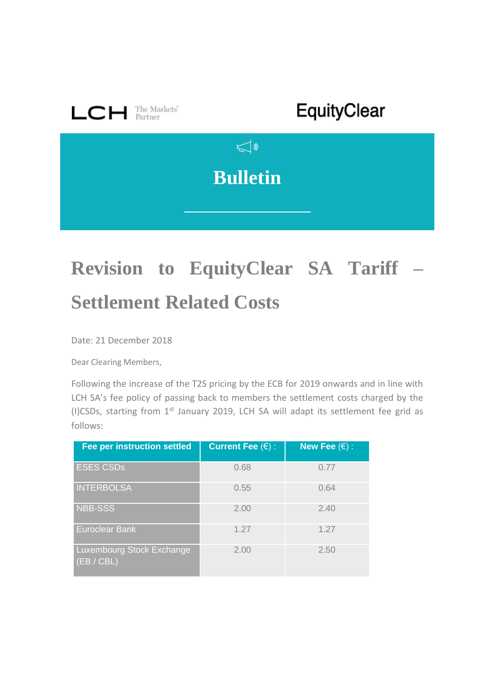

## **Revision to EquityClear SA Tariff – Settlement Related Costs**

Date: 21 December 2018

Dear Clearing Members,

Following the increase of the T2S pricing by the ECB for 2019 onwards and in line with LCH SA's fee policy of passing back to members the settlement costs charged by the (I)CSDs, starting from 1st January 2019, LCH SA will adapt its settlement fee grid as follows:

| <b>Fee per instruction settled</b>      | <b>Current Fee <math>(\epsilon)</math>:</b> | New Fee $(\epsilon)$ : |
|-----------------------------------------|---------------------------------------------|------------------------|
| <b>ESES CSDs</b>                        | 0.68                                        | 0.77                   |
| <b>INTERBOLSA</b>                       | 0.55                                        | 0.64                   |
| <b>NBB-SSS</b>                          | 2.00                                        | 2.40                   |
| Euroclear Bank                          | 1.27                                        | 1.27                   |
| Luxembourg Stock Exchange<br>(EB / CBL) | 2.00                                        | 2.50                   |